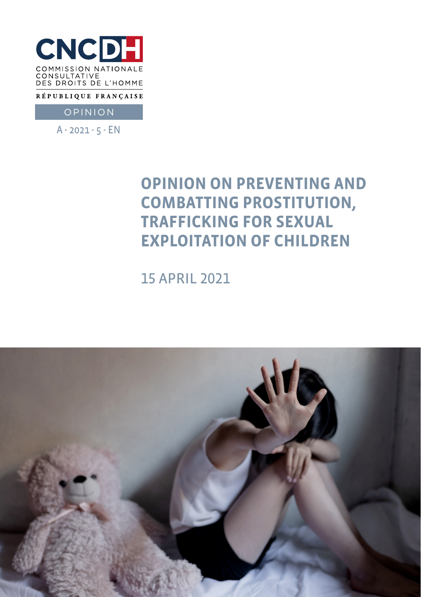

RÉPUBLIQUE FRANÇAISE

OPINION

A - 2021 - 5 - EN

# **OPINION ON PREVENTING AND COMBATTING PROSTITUTION, TRAFFICKING FOR SEXUAL EXPLOITATION OF CHILDREN**

15 APRIL 2021

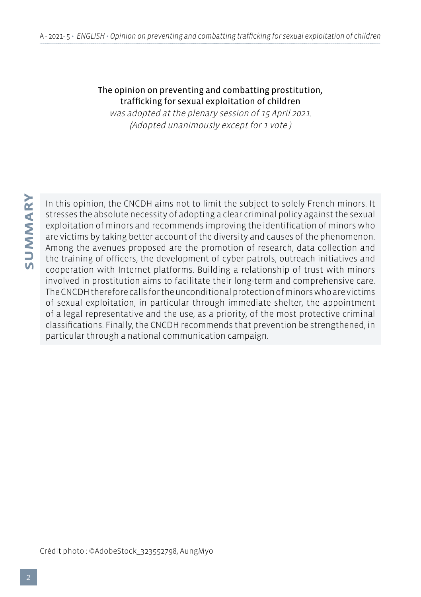#### The opinion on preventing and combatting prostitution, trafficking for sexual exploitation of children

was adopted at the plenary session of 15 April 2021. (Adopted unanimously except for 1 vote )

In this opinion, the CNCDH aims not to limit the subject to solely French minors. It stresses the absolute necessity of adopting a clear criminal policy against the sexual exploitation of minors and recommends improving the identification of minors who are victims by taking better account of the diversity and causes of the phenomenon. Among the avenues proposed are the promotion of research, data collection and the training of officers, the development of cyber patrols, outreach initiatives and cooperation with Internet platforms. Building a relationship of trust with minors involved in prostitution aims to facilitate their long-term and comprehensive care. The CNCDH therefore calls for the unconditional protection of minors who are victims of sexual exploitation, in particular through immediate shelter, the appointment of a legal representative and the use, as a priority, of the most protective criminal classifications. Finally, the CNCDH recommends that prevention be strengthened, in particular through a national communication campaign.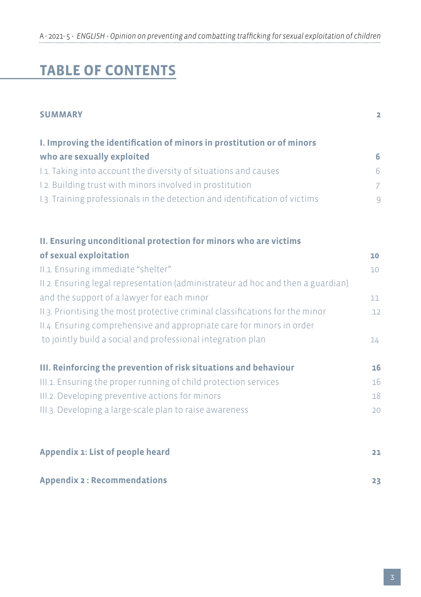# **TABLE OF CONTENTS**

| <b>SUMMARY</b>                                                                  | $\overline{\mathbf{2}}$ |
|---------------------------------------------------------------------------------|-------------------------|
| I. Improving the identification of minors in prostitution or of minors          |                         |
| who are sexually exploited                                                      | 6                       |
| I.1. Taking into account the diversity of situations and causes                 | 6                       |
| I.2. Building trust with minors involved in prostitution                        | 7                       |
| I.3. Training professionals in the detection and identification of victims      | $\overline{9}$          |
| II. Ensuring unconditional protection for minors who are victims                |                         |
| of sexual exploitation                                                          | 10                      |
| II.1. Ensuring immediate "shelter"                                              | 10                      |
| II.2. Ensuring legal representation (administrateur ad hoc and then a guardian) |                         |
| and the support of a lawyer for each minor                                      | 11                      |
| II.3. Prioritising the most protective criminal classifications for the minor   | 12                      |
| II.4. Ensuring comprehensive and appropriate care for minors in order           |                         |
| to jointly build a social and professional integration plan                     | 14                      |
| III. Reinforcing the prevention of risk situations and behaviour                | 16                      |
| III.1. Ensuring the proper running of child protection services                 | 16                      |
| III.2. Developing preventive actions for minors                                 | 18                      |
| III.3. Developing a large-scale plan to raise awareness                         | 20                      |
| Appendix 1: List of people heard                                                | 21                      |
| <b>Appendix 2: Recommendations</b>                                              | 23                      |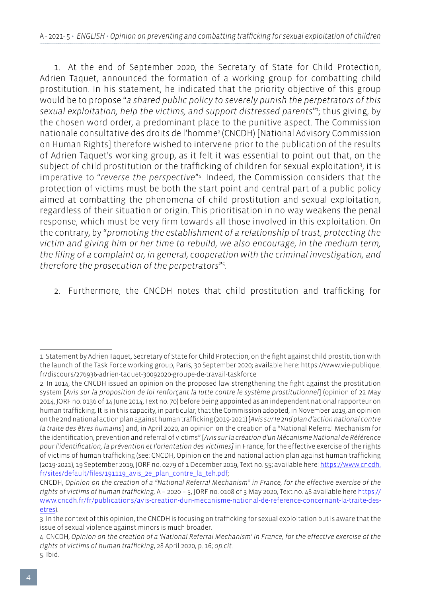1. At the end of September 2020, the Secretary of State for Child Protection, Adrien Taquet, announced the formation of a working group for combatting child prostitution. In his statement, he indicated that the priority objective of this group would be to propose "*a shared public policy to severely punish the perpetrators of this sexual exploitation, help the victims, and support distressed parents*"1 ; thus giving, by the chosen word order, a predominant place to the punitive aspect. The Commission nationale consultative des droits de l'homme2 (CNCDH) [National Advisory Commission on Human Rights] therefore wished to intervene prior to the publication of the results of Adrien Taquet's working group, as it felt it was essential to point out that, on the subject of child prostitution or the trafficking of children for sexual exploitation<sup>3</sup>, it is imperative to "*reverse the perspective*"4 . Indeed, the Commission considers that the protection of victims must be both the start point and central part of a public policy aimed at combatting the phenomena of child prostitution and sexual exploitation, regardless of their situation or origin. This prioritisation in no way weakens the penal response, which must be very firm towards all those involved in this exploitation. On the contrary, by "*promoting the establishment of a relationship of trust, protecting the victim and giving him or her time to rebuild, we also encourage, in the medium term, the filing of a complaint or, in general, cooperation with the criminal investigation, and therefore the prosecution of the perpetrators*"5 .

2. Furthermore, the CNCDH notes that child prostitution and trafficking for

<sup>1.</sup> Statement by Adrien Taquet, Secretary of State for Child Protection, on the fight against child prostitution with the launch of the Task Force working group, Paris, 30 September 2020; available here: https://www.vie-publique. fr/discours/276936-adrien-taquet-30092020-groupe-de-travail-taskforce

<sup>2.</sup> In 2014, the CNCDH issued an opinion on the proposed law strengthening the fight against the prostitution system [*Avis sur la proposition de loi renforçant la lutte contre le système prostitutionnel*] (opinion of 22 May 2014, JORF no. 0136 of 14 June 2014, Text no. 70) before being appointed as an independent national rapporteur on human trafficking. It is in this capacity, in particular, that the Commission adopted, in November 2019, an opinion on the 2nd national action plan against human trafficking (2019-2021) [*Avis sur le 2nd plan d'action national contre la traite des êtres humains*] and, in April 2020, an opinion on the creation of a "National Referral Mechanism for the identification, prevention and referral of victims" [*Avis sur la création d'un Mécanisme National de Référence pour l'identification, la prévention et l'orientation des victimes]* in France, for the effective exercise of the rights of victims of human trafficking (see: CNCDH, Opinion on the 2nd national action plan against human trafficking (2019-2021), 19 September 2019, JORF no. 0279 of 1 December 2019, Text no. 55; available here: [https://www.cncdh.](https://www.cncdh.fr/sites/default/files/191119_avis_2e_plan_contre_la_teh.pdf) [fr/sites/default/files/191119\\_avis\\_2e\\_plan\\_contre\\_la\\_teh.pdf](https://www.cncdh.fr/sites/default/files/191119_avis_2e_plan_contre_la_teh.pdf);

CNCDH, *Opinion on the creation of a "National Referral Mechanism" in France, for the effective exercise of the rights of victims of human trafficking,* A – 2020 – 5, JORF no. 0108 of 3 May 2020, Text no. 48 available here [https://](https://www.cncdh.fr/fr/publications/avis-creation-dun-mecanisme-national-de-reference-concernant-la-traite-des-etres) [www.cncdh.fr/fr/publications/avis-creation-dun-mecanisme-national-de-reference-concernant-la-traite-des](https://www.cncdh.fr/fr/publications/avis-creation-dun-mecanisme-national-de-reference-concernant-la-traite-des-etres)[etres](https://www.cncdh.fr/fr/publications/avis-creation-dun-mecanisme-national-de-reference-concernant-la-traite-des-etres)).

<sup>3.</sup> In the context of this opinion, the CNCDH is focusing on trafficking for sexual exploitation but is aware that the issue of sexual violence against minors is much broader.

<sup>4.</sup> CNCDH, *Opinion on the creation of a 'National Referral Mechanism' in France, for the effective exercise of the rights of victims of human trafficking*, 28 April 2020, p. 16; *op.cit.* 5. Ibid.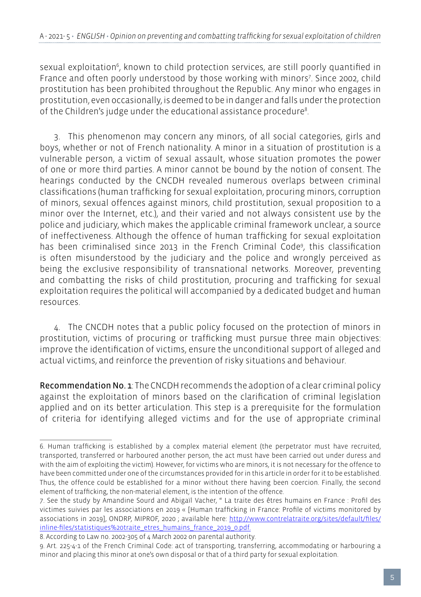sexual exploitation<sup>6</sup>, known to child protection services, are still poorly quantified in France and often poorly understood by those working with minors<sup>7</sup>. Since 2002, child prostitution has been prohibited throughout the Republic. Any minor who engages in prostitution, even occasionally, is deemed to be in danger and falls under the protection of the Children's judge under the educational assistance procedure8 .

3. This phenomenon may concern any minors, of all social categories, girls and boys, whether or not of French nationality. A minor in a situation of prostitution is a vulnerable person, a victim of sexual assault, whose situation promotes the power of one or more third parties. A minor cannot be bound by the notion of consent. The hearings conducted by the CNCDH revealed numerous overlaps between criminal classifications (human trafficking for sexual exploitation, procuring minors, corruption of minors, sexual offences against minors, child prostitution, sexual proposition to a minor over the Internet, etc.), and their varied and not always consistent use by the police and judiciary, which makes the applicable criminal framework unclear, a source of ineffectiveness. Although the offence of human trafficking for sexual exploitation has been criminalised since 2013 in the French Criminal Code9 , this classification is often misunderstood by the judiciary and the police and wrongly perceived as being the exclusive responsibility of transnational networks. Moreover, preventing and combatting the risks of child prostitution, procuring and trafficking for sexual exploitation requires the political will accompanied by a dedicated budget and human resources.

4. The CNCDH notes that a public policy focused on the protection of minors in prostitution, victims of procuring or trafficking must pursue three main objectives: improve the identification of victims, ensure the unconditional support of alleged and actual victims, and reinforce the prevention of risky situations and behaviour.

Recommendation No. 1: The CNCDH recommends the adoption of a clear criminal policy against the exploitation of minors based on the clarification of criminal legislation applied and on its better articulation. This step is a prerequisite for the formulation of criteria for identifying alleged victims and for the use of appropriate criminal

<sup>6.</sup> Human trafficking is established by a complex material element (the perpetrator must have recruited, transported, transferred or harboured another person, the act must have been carried out under duress and with the aim of exploiting the victim). However, for victims who are minors, it is not necessary for the offence to have been committed under one of the circumstances provided for in this article in order for it to be established. Thus, the offence could be established for a minor without there having been coercion. Finally, the second element of trafficking, the non-material element, is the intention of the offence.

<sup>7.</sup> See the study by Amandine Sourd and Abigaïl Vacher, " La traite des êtres humains en France : Profil des victimes suivies par les associations en 2019 « [Human trafficking in France: Profile of victims monitored by associations in 2019], ONDRP, MIPROF, 2020 ; available here: [http://www.contrelatraite.org/sites/default/files/](http://www.contrelatraite.org/sites/default/files/inline-files/statistiques%20traite_etres_humains_france_2019_0.pdf) [inline-files/statistiques%20traite\\_etres\\_humains\\_france\\_2019\\_0.pdf.](http://www.contrelatraite.org/sites/default/files/inline-files/statistiques%20traite_etres_humains_france_2019_0.pdf)

<sup>8.</sup> According to Law no. 2002-305 of 4 March 2002 on parental authority.

<sup>9.</sup> Art. 225-4-1 of the French Criminal Code: act of transporting, transferring, accommodating or harbouring a minor and placing this minor at one's own disposal or that of a third party for sexual exploitation.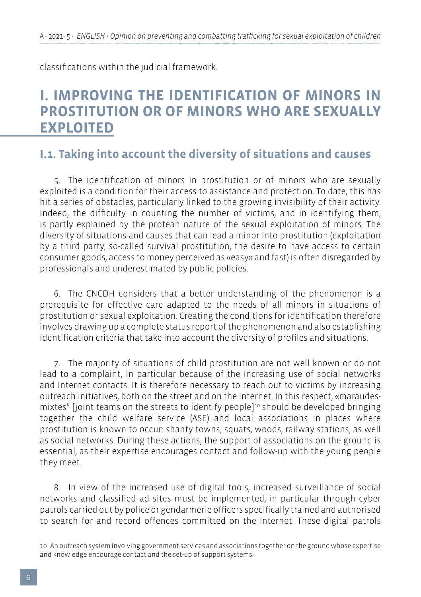classifications within the judicial framework.

## **I. IMPROVING THE IDENTIFICATION OF MINORS IN PROSTITUTION OR OF MINORS WHO ARE SEXUALLY EXPLOITED**

## **I.1. Taking into account the diversity of situations and causes**

5. The identification of minors in prostitution or of minors who are sexually exploited is a condition for their access to assistance and protection. To date, this has hit a series of obstacles, particularly linked to the growing invisibility of their activity. Indeed, the difficulty in counting the number of victims, and in identifying them, is partly explained by the protean nature of the sexual exploitation of minors. The diversity of situations and causes that can lead a minor into prostitution (exploitation by a third party, so-called survival prostitution, the desire to have access to certain consumer goods, access to money perceived as «easy» and fast) is often disregarded by professionals and underestimated by public policies.

6. The CNCDH considers that a better understanding of the phenomenon is a prerequisite for effective care adapted to the needs of all minors in situations of prostitution or sexual exploitation. Creating the conditions for identification therefore involves drawing up a complete status report of the phenomenon and also establishing identification criteria that take into account the diversity of profiles and situations.

7. The majority of situations of child prostitution are not well known or do not lead to a complaint, in particular because of the increasing use of social networks and Internet contacts. It is therefore necessary to reach out to victims by increasing outreach initiatives, both on the street and on the Internet. In this respect, «maraudesmixtes" [joint teams on the streets to identify people]<sup>10</sup> should be developed bringing together the child welfare service (ASE) and local associations in places where prostitution is known to occur: shanty towns, squats, woods, railway stations, as well as social networks. During these actions, the support of associations on the ground is essential, as their expertise encourages contact and follow-up with the young people they meet.

8. In view of the increased use of digital tools, increased surveillance of social networks and classified ad sites must be implemented, in particular through cyber patrols carried out by police or gendarmerie officers specifically trained and authorised to search for and record offences committed on the Internet. These digital patrols

<sup>10.</sup> An outreach system involving government services and associations together on the ground whose expertise and knowledge encourage contact and the set-up of support systems.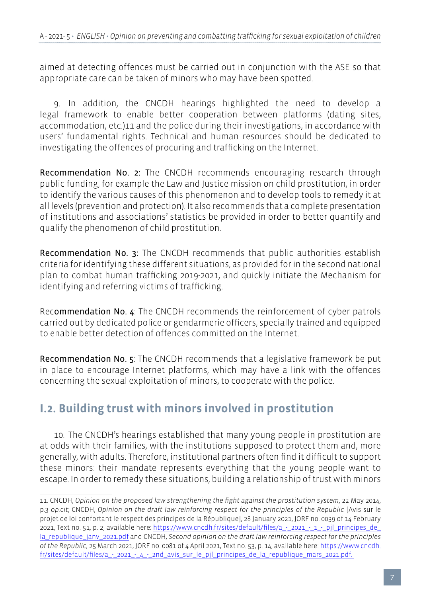aimed at detecting offences must be carried out in conjunction with the ASE so that appropriate care can be taken of minors who may have been spotted.

9. In addition, the CNCDH hearings highlighted the need to develop a legal framework to enable better cooperation between platforms (dating sites, accommodation, etc.)11 and the police during their investigations, in accordance with users' fundamental rights. Technical and human resources should be dedicated to investigating the offences of procuring and trafficking on the Internet.

Recommendation No. 2: The CNCDH recommends encouraging research through public funding, for example the Law and Justice mission on child prostitution, in order to identify the various causes of this phenomenon and to develop tools to remedy it at all levels (prevention and protection). It also recommends that a complete presentation of institutions and associations' statistics be provided in order to better quantify and qualify the phenomenon of child prostitution.

Recommendation No. 3: The CNCDH recommends that public authorities establish criteria for identifying these different situations, as provided for in the second national plan to combat human trafficking 2019-2021, and quickly initiate the Mechanism for identifying and referring victims of trafficking.

Recommendation No. 4: The CNCDH recommends the reinforcement of cyber patrols carried out by dedicated police or gendarmerie officers, specially trained and equipped to enable better detection of offences committed on the Internet.

Recommendation No. 5: The CNCDH recommends that a legislative framework be put in place to encourage Internet platforms, which may have a link with the offences concerning the sexual exploitation of minors, to cooperate with the police.

## **I.2. Building trust with minors involved in prostitution**

10. The CNCDH's hearings established that many young people in prostitution are at odds with their families, with the institutions supposed to protect them and, more generally, with adults. Therefore, institutional partners often find it difficult to support these minors: their mandate represents everything that the young people want to escape. In order to remedy these situations, building a relationship of trust with minors

<sup>11.</sup> CNCDH, *Opinion on the proposed law strengthening the fight against the prostitution system*, 22 May 2014, p.3 *op.cit*; CNCDH, *Opinion on the draft law reinforcing respect for the principles of the Republic* [Avis sur le projet de loi confortant le respect des principes de la République], 28 January 2021, JORF no. 0039 of 14 February 2021, Text no. 51, p. 2; available here: https://www.cncdh.fr/sites/default/files/a - 2021 - 1 - pil\_principes\_de la republique janv\_2021.pdf and CNCDH, Second opinion on the draft law reinforcing respect for the principles *of the Republic,* 25 March 2021, JORF no. 0081 of 4 April 2021, Text no. 53, p. 14; available here: [https://www.cncdh.](https://www.cncdh.fr/sites/default/files/a_-_2021_-_4_-_2nd_avis_sur_le_pjl_principes_de_la_republique_mars_2021.pdf) fr/sites/default/files/a - 2021 - 4 - 2nd avis sur le pjl\_principes\_de\_la\_republique\_mars\_2021.pdf.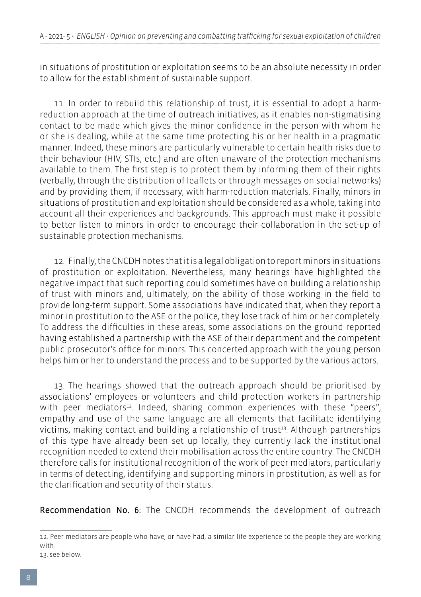in situations of prostitution or exploitation seems to be an absolute necessity in order to allow for the establishment of sustainable support.

11. In order to rebuild this relationship of trust, it is essential to adopt a harmreduction approach at the time of outreach initiatives, as it enables non-stigmatising contact to be made which gives the minor confidence in the person with whom he or she is dealing, while at the same time protecting his or her health in a pragmatic manner. Indeed, these minors are particularly vulnerable to certain health risks due to their behaviour (HIV, STIs, etc.) and are often unaware of the protection mechanisms available to them. The first step is to protect them by informing them of their rights (verbally, through the distribution of leaflets or through messages on social networks) and by providing them, if necessary, with harm-reduction materials. Finally, minors in situations of prostitution and exploitation should be considered as a whole, taking into account all their experiences and backgrounds. This approach must make it possible to better listen to minors in order to encourage their collaboration in the set-up of sustainable protection mechanisms.

12. Finally, the CNCDH notes that it is a legal obligation to report minors in situations of prostitution or exploitation. Nevertheless, many hearings have highlighted the negative impact that such reporting could sometimes have on building a relationship of trust with minors and, ultimately, on the ability of those working in the field to provide long-term support. Some associations have indicated that, when they report a minor in prostitution to the ASE or the police, they lose track of him or her completely. To address the difficulties in these areas, some associations on the ground reported having established a partnership with the ASE of their department and the competent public prosecutor's office for minors. This concerted approach with the young person helps him or her to understand the process and to be supported by the various actors.

13. The hearings showed that the outreach approach should be prioritised by associations' employees or volunteers and child protection workers in partnership with peer mediators<sup>12</sup>. Indeed, sharing common experiences with these "peers", empathy and use of the same language are all elements that facilitate identifying victims, making contact and building a relationship of trust<sup>13</sup>. Although partnerships of this type have already been set up locally, they currently lack the institutional recognition needed to extend their mobilisation across the entire country. The CNCDH therefore calls for institutional recognition of the work of peer mediators, particularly in terms of detecting, identifying and supporting minors in prostitution, as well as for the clarification and security of their status.

Recommendation No. 6: The CNCDH recommends the development of outreach

13. see below.

<sup>12.</sup> Peer mediators are people who have, or have had, a similar life experience to the people they are working with.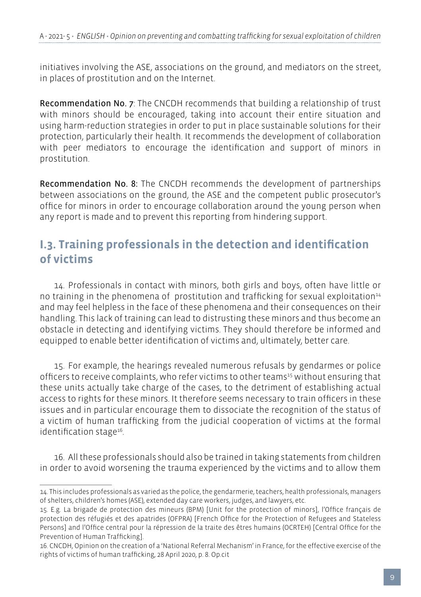initiatives involving the ASE, associations on the ground, and mediators on the street, in places of prostitution and on the Internet.

Recommendation No. 7: The CNCDH recommends that building a relationship of trust with minors should be encouraged, taking into account their entire situation and using harm-reduction strategies in order to put in place sustainable solutions for their protection, particularly their health. It recommends the development of collaboration with peer mediators to encourage the identification and support of minors in prostitution.

Recommendation No. 8: The CNCDH recommends the development of partnerships between associations on the ground, the ASE and the competent public prosecutor's office for minors in order to encourage collaboration around the young person when any report is made and to prevent this reporting from hindering support.

## **I.3. Training professionals in the detection and identification of victims**

14. Professionals in contact with minors, both girls and boys, often have little or no training in the phenomena of prostitution and trafficking for sexual exploitation<sup>14</sup> and may feel helpless in the face of these phenomena and their consequences on their handling. This lack of training can lead to distrusting these minors and thus become an obstacle in detecting and identifying victims. They should therefore be informed and equipped to enable better identification of victims and, ultimately, better care.

15. For example, the hearings revealed numerous refusals by gendarmes or police officers to receive complaints, who refer victims to other teams<sup>15</sup> without ensuring that these units actually take charge of the cases, to the detriment of establishing actual access to rights for these minors. It therefore seems necessary to train officers in these issues and in particular encourage them to dissociate the recognition of the status of a victim of human trafficking from the judicial cooperation of victims at the formal identification stage<sup>16</sup>.

16. All these professionals should also be trained in taking statements from children in order to avoid worsening the trauma experienced by the victims and to allow them

<sup>14.</sup> This includes professionals as varied as the police, the gendarmerie, teachers, health professionals, managers of shelters, children's homes (ASE), extended day care workers, judges, and lawyers, etc.

<sup>15.</sup> E.g. La brigade de protection des mineurs (BPM) [Unit for the protection of minors], l'Office français de protection des réfugiés et des apatrides (OFPRA) [French Office for the Protection of Refugees and Stateless Persons] and l'Office central pour la répression de la traite des êtres humains (OCRTEH) [Central Office for the Prevention of Human Trafficking].

<sup>16.</sup> CNCDH, Opinion on the creation of a 'National Referral Mechanism' in France, for the effective exercise of the rights of victims of human trafficking, 28 April 2020, p. 8. Op.cit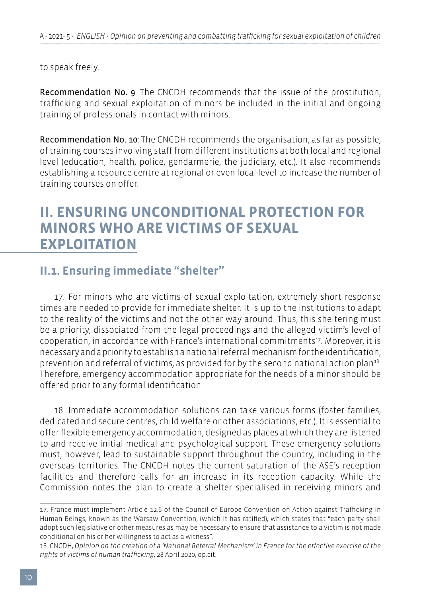to speak freely.

Recommendation No. 9: The CNCDH recommends that the issue of the prostitution, trafficking and sexual exploitation of minors be included in the initial and ongoing training of professionals in contact with minors.

Recommendation No. 10: The CNCDH recommends the organisation, as far as possible, of training courses involving staff from different institutions at both local and regional level (education, health, police, gendarmerie, the judiciary, etc.). It also recommends establishing a resource centre at regional or even local level to increase the number of training courses on offer.

## **II. ENSURING UNCONDITIONAL PROTECTION FOR MINORS WHO ARE VICTIMS OF SEXUAL EXPLOITATION**

## **II.1. Ensuring immediate "shelter"**

17. For minors who are victims of sexual exploitation, extremely short response times are needed to provide for immediate shelter. It is up to the institutions to adapt to the reality of the victims and not the other way around. Thus, this sheltering must be a priority, dissociated from the legal proceedings and the alleged victim's level of cooperation, in accordance with France's international commitments<sup>17</sup>. Moreover, it is necessary and a priority to establish a national referral mechanism for the identification, prevention and referral of victims, as provided for by the second national action plan<sup>18</sup>. Therefore, emergency accommodation appropriate for the needs of a minor should be offered prior to any formal identification.

18. Immediate accommodation solutions can take various forms (foster families, dedicated and secure centres, child welfare or other associations, etc.). It is essential to offer flexible emergency accommodation, designed as places at which they are listened to and receive initial medical and psychological support. These emergency solutions must, however, lead to sustainable support throughout the country, including in the overseas territories. The CNCDH notes the current saturation of the ASE's reception facilities and therefore calls for an increase in its reception capacity. While the Commission notes the plan to create a shelter specialised in receiving minors and

<sup>17.</sup> France must implement Article 12.6 of the Council of Europe Convention on Action against Trafficking in Human Beings, known as the Warsaw Convention, (which it has ratified), which states that "each party shall adopt such legislative or other measures as may be necessary to ensure that assistance to a victim is not made conditional on his or her willingness to act as a witness".

<sup>18.</sup> CNCDH, *Opinion on the creation of a 'National Referral Mechanism' in France for the effective exercise of the rights of victims of human trafficking*, 28 April 2020, op.cit.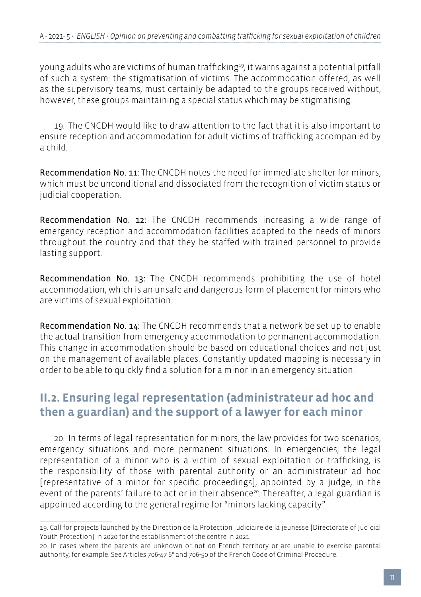young adults who are victims of human trafficking19, it warns against a potential pitfall of such a system: the stigmatisation of victims. The accommodation offered, as well as the supervisory teams, must certainly be adapted to the groups received without, however, these groups maintaining a special status which may be stigmatising.

19. The CNCDH would like to draw attention to the fact that it is also important to ensure reception and accommodation for adult victims of trafficking accompanied by a child.

Recommendation No. 11: The CNCDH notes the need for immediate shelter for minors, which must be unconditional and dissociated from the recognition of victim status or judicial cooperation.

Recommendation No. 12: The CNCDH recommends increasing a wide range of emergency reception and accommodation facilities adapted to the needs of minors throughout the country and that they be staffed with trained personnel to provide lasting support.

Recommendation No. 13: The CNCDH recommends prohibiting the use of hotel accommodation, which is an unsafe and dangerous form of placement for minors who are victims of sexual exploitation.

Recommendation No. 14: The CNCDH recommends that a network be set up to enable the actual transition from emergency accommodation to permanent accommodation. This change in accommodation should be based on educational choices and not just on the management of available places. Constantly updated mapping is necessary in order to be able to quickly find a solution for a minor in an emergency situation.

## **II.2. Ensuring legal representation (administrateur ad hoc and then a guardian) and the support of a lawyer for each minor**

20. In terms of legal representation for minors, the law provides for two scenarios, emergency situations and more permanent situations. In emergencies, the legal representation of a minor who is a victim of sexual exploitation or trafficking, is the responsibility of those with parental authority or an administrateur ad hoc [representative of a minor for specific proceedings], appointed by a judge, in the event of the parents' failure to act or in their absence<sup>20</sup>. Thereafter, a legal guardian is appointed according to the general regime for "minors lacking capacity".

<sup>19.</sup> Call for projects launched by the Direction de la Protection judiciaire de la jeunesse [Directorate of Judicial Youth Protection] in 2020 for the establishment of the centre in 2021.

<sup>20.</sup> In cases where the parents are unknown or not on French territory or are unable to exercise parental authority, for example. See Articles 706-47 6° and 706-50 of the French Code of Criminal Procedure.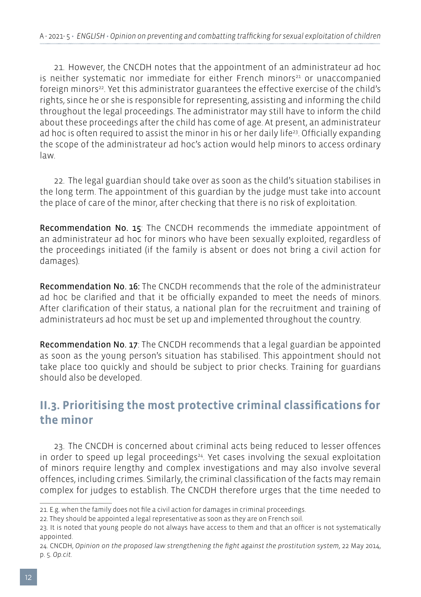21. However, the CNCDH notes that the appointment of an administrateur ad hoc is neither systematic nor immediate for either French minors<sup>21</sup> or unaccompanied foreign minors<sup>22</sup>. Yet this administrator guarantees the effective exercise of the child's rights, since he or she is responsible for representing, assisting and informing the child throughout the legal proceedings. The administrator may still have to inform the child about these proceedings after the child has come of age. At present, an administrateur ad hoc is often required to assist the minor in his or her daily life<sup>23</sup>. Officially expanding the scope of the administrateur ad hoc's action would help minors to access ordinary law.

22. The legal guardian should take over as soon as the child's situation stabilises in the long term. The appointment of this guardian by the judge must take into account the place of care of the minor, after checking that there is no risk of exploitation.

Recommendation No. 15: The CNCDH recommends the immediate appointment of an administrateur ad hoc for minors who have been sexually exploited, regardless of the proceedings initiated (if the family is absent or does not bring a civil action for damages).

Recommendation No. 16: The CNCDH recommends that the role of the administrateur ad hoc be clarified and that it be officially expanded to meet the needs of minors. After clarification of their status, a national plan for the recruitment and training of administrateurs ad hoc must be set up and implemented throughout the country.

Recommendation No. 17: The CNCDH recommends that a legal guardian be appointed as soon as the young person's situation has stabilised. This appointment should not take place too quickly and should be subject to prior checks. Training for guardians should also be developed.

## **II.3. Prioritising the most protective criminal classifications for the minor**

23. The CNCDH is concerned about criminal acts being reduced to lesser offences in order to speed up legal proceedings $24$ . Yet cases involving the sexual exploitation of minors require lengthy and complex investigations and may also involve several offences, including crimes. Similarly, the criminal classification of the facts may remain complex for judges to establish. The CNCDH therefore urges that the time needed to

<sup>21.</sup> E.g. when the family does not file a civil action for damages in criminal proceedings.

<sup>22.</sup> They should be appointed a legal representative as soon as they are on French soil.

<sup>23.</sup> It is noted that young people do not always have access to them and that an officer is not systematically appointed.

<sup>24.</sup> CNCDH, *Opinion on the proposed law strengthening the fight against the prostitution system*, 22 May 2014, p. 5. *Op.cit.*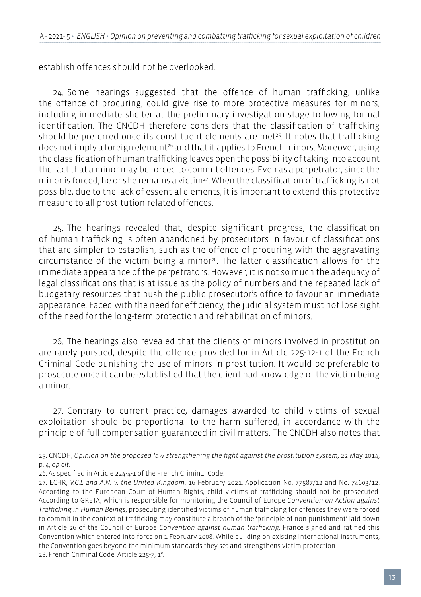establish offences should not be overlooked.

24. Some hearings suggested that the offence of human trafficking, unlike the offence of procuring, could give rise to more protective measures for minors, including immediate shelter at the preliminary investigation stage following formal identification. The CNCDH therefore considers that the classification of trafficking should be preferred once its constituent elements are met<sup>25</sup>. It notes that trafficking does not imply a foreign element<sup>26</sup> and that it applies to French minors. Moreover, using the classification of human trafficking leaves open the possibility of taking into account the fact that a minor may be forced to commit offences. Even as a perpetrator, since the minor is forced, he or she remains a victim<sup>27</sup>. When the classification of trafficking is not possible, due to the lack of essential elements, it is important to extend this protective measure to all prostitution-related offences.

25. The hearings revealed that, despite significant progress, the classification of human trafficking is often abandoned by prosecutors in favour of classifications that are simpler to establish, such as the offence of procuring with the aggravating circumstance of the victim being a minor $28$ . The latter classification allows for the immediate appearance of the perpetrators. However, it is not so much the adequacy of legal classifications that is at issue as the policy of numbers and the repeated lack of budgetary resources that push the public prosecutor's office to favour an immediate appearance. Faced with the need for efficiency, the judicial system must not lose sight of the need for the long-term protection and rehabilitation of minors.

26. The hearings also revealed that the clients of minors involved in prostitution are rarely pursued, despite the offence provided for in Article 225-12-1 of the French Criminal Code punishing the use of minors in prostitution. It would be preferable to prosecute once it can be established that the client had knowledge of the victim being a minor.

27. Contrary to current practice, damages awarded to child victims of sexual exploitation should be proportional to the harm suffered, in accordance with the principle of full compensation guaranteed in civil matters. The CNCDH also notes that

<sup>25.</sup> CNCDH, *Opinion on the proposed law strengthening the fight against the prostitution system*, 22 May 2014, p. 4, *op.cit.*

<sup>26.</sup> As specified in Article 224-4-1 of the French Criminal Code.

<sup>27.</sup> ECHR, *V.C.L and A.N. v. the United Kingdom*, 16 February 2021, Application No. 77587/12 and No. 74603/12. According to the European Court of Human Rights, child victims of trafficking should not be prosecuted. According to GRETA, which is responsible for monitoring the Council of Europe *Convention on Action against Trafficking in Human Beings*, prosecuting identified victims of human trafficking for offences they were forced to commit in the context of trafficking may constitute a breach of the 'principle of non-punishment' laid down in Article 26 of the Council of Europe *Convention against human trafficking*. France signed and ratified this Convention which entered into force on 1 February 2008. While building on existing international instruments, the Convention goes beyond the minimum standards they set and strengthens victim protection. 28. French Criminal Code, Article 225-7, 1°.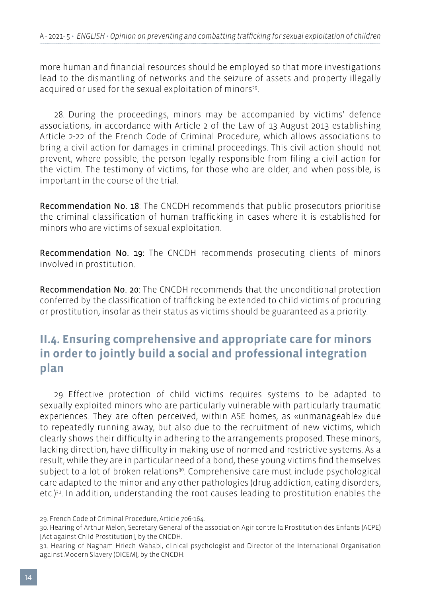more human and financial resources should be employed so that more investigations lead to the dismantling of networks and the seizure of assets and property illegally acquired or used for the sexual exploitation of minors<sup>29</sup>.

28. During the proceedings, minors may be accompanied by victims' defence associations, in accordance with Article 2 of the Law of 13 August 2013 establishing Article 2-22 of the French Code of Criminal Procedure, which allows associations to bring a civil action for damages in criminal proceedings. This civil action should not prevent, where possible, the person legally responsible from filing a civil action for the victim. The testimony of victims, for those who are older, and when possible, is important in the course of the trial.

Recommendation No. 18: The CNCDH recommends that public prosecutors prioritise the criminal classification of human trafficking in cases where it is established for minors who are victims of sexual exploitation.

Recommendation No. 19: The CNCDH recommends prosecuting clients of minors involved in prostitution.

Recommendation No. 20: The CNCDH recommends that the unconditional protection conferred by the classification of trafficking be extended to child victims of procuring or prostitution, insofar as their status as victims should be guaranteed as a priority.

## **II.4. Ensuring comprehensive and appropriate care for minors in order to jointly build a social and professional integration plan**

29. Effective protection of child victims requires systems to be adapted to sexually exploited minors who are particularly vulnerable with particularly traumatic experiences. They are often perceived, within ASE homes, as «unmanageable» due to repeatedly running away, but also due to the recruitment of new victims, which clearly shows their difficulty in adhering to the arrangements proposed. These minors, lacking direction, have difficulty in making use of normed and restrictive systems. As a result, while they are in particular need of a bond, these young victims find themselves subject to a lot of broken relations<sup>30</sup>. Comprehensive care must include psychological care adapted to the minor and any other pathologies (drug addiction, eating disorders, etc.) $31$ . In addition, understanding the root causes leading to prostitution enables the

<sup>29.</sup> French Code of Criminal Procedure, Article 706-164.

<sup>30.</sup> Hearing of Arthur Melon, Secretary General of the association Agir contre la Prostitution des Enfants (ACPE) [Act against Child Prostitution], by the CNCDH.

<sup>31.</sup> Hearing of Nagham Hriech Wahabi, clinical psychologist and Director of the International Organisation against Modern Slavery (OICEM), by the CNCDH.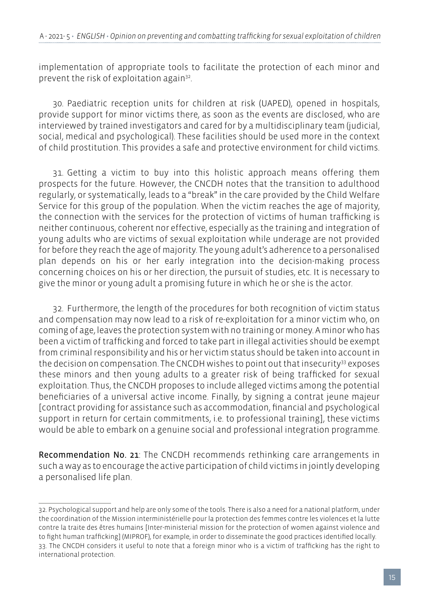implementation of appropriate tools to facilitate the protection of each minor and prevent the risk of exploitation again32.

30. Paediatric reception units for children at risk (UAPED), opened in hospitals, provide support for minor victims there, as soon as the events are disclosed, who are interviewed by trained investigators and cared for by a multidisciplinary team (judicial, social, medical and psychological). These facilities should be used more in the context of child prostitution. This provides a safe and protective environment for child victims.

31. Getting a victim to buy into this holistic approach means offering them prospects for the future. However, the CNCDH notes that the transition to adulthood regularly, or systematically, leads to a "break" in the care provided by the Child Welfare Service for this group of the population. When the victim reaches the age of majority, the connection with the services for the protection of victims of human trafficking is neither continuous, coherent nor effective, especially as the training and integration of young adults who are victims of sexual exploitation while underage are not provided for before they reach the age of majority. The young adult's adherence to a personalised plan depends on his or her early integration into the decision-making process concerning choices on his or her direction, the pursuit of studies, etc. It is necessary to give the minor or young adult a promising future in which he or she is the actor.

32. Furthermore, the length of the procedures for both recognition of victim status and compensation may now lead to a risk of re-exploitation for a minor victim who, on coming of age, leaves the protection system with no training or money. A minor who has been a victim of trafficking and forced to take part in illegal activities should be exempt from criminal responsibility and his or her victim status should be taken into account in the decision on compensation. The CNCDH wishes to point out that insecurity<sup>33</sup> exposes these minors and then young adults to a greater risk of being trafficked for sexual exploitation. Thus, the CNCDH proposes to include alleged victims among the potential beneficiaries of a universal active income. Finally, by signing a contrat jeune majeur [contract providing for assistance such as accommodation, financial and psychological support in return for certain commitments, i.e. to professional training], these victims would be able to embark on a genuine social and professional integration programme.

Recommendation No. 21: The CNCDH recommends rethinking care arrangements in such a way as to encourage the active participation of child victims in jointly developing a personalised life plan.

<sup>32.</sup> Psychological support and help are only some of the tools. There is also a need for a national platform, under the coordination of the Mission interministérielle pour la protection des femmes contre les violences et la lutte contre la traite des êtres humains [Inter-ministerial mission for the protection of women against violence and to fight human trafficking] (MIPROF), for example, in order to disseminate the good practices identified locally. 33. The CNCDH considers it useful to note that a foreign minor who is a victim of trafficking has the right to international protection.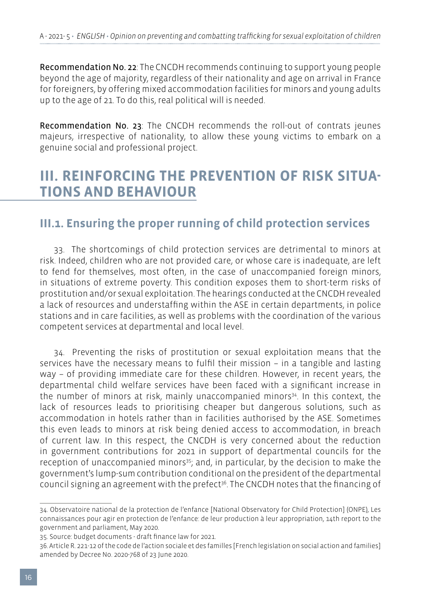Recommendation No. 22: The CNCDH recommends continuing to support young people beyond the age of majority, regardless of their nationality and age on arrival in France for foreigners, by offering mixed accommodation facilities for minors and young adults up to the age of 21. To do this, real political will is needed.

Recommendation No. 23: The CNCDH recommends the roll-out of contrats jeunes majeurs, irrespective of nationality, to allow these young victims to embark on a genuine social and professional project.

## **III. REINFORCING THE PREVENTION OF RISK SITUA-TIONS AND BEHAVIOUR**

### **III.1. Ensuring the proper running of child protection services**

33. The shortcomings of child protection services are detrimental to minors at risk. Indeed, children who are not provided care, or whose care is inadequate, are left to fend for themselves, most often, in the case of unaccompanied foreign minors, in situations of extreme poverty. This condition exposes them to short-term risks of prostitution and/or sexual exploitation. The hearings conducted at the CNCDH revealed a lack of resources and understaffing within the ASE in certain departments, in police stations and in care facilities, as well as problems with the coordination of the various competent services at departmental and local level.

34. Preventing the risks of prostitution or sexual exploitation means that the services have the necessary means to fulfil their mission – in a tangible and lasting way – of providing immediate care for these children. However, in recent years, the departmental child welfare services have been faced with a significant increase in the number of minors at risk, mainly unaccompanied minors<sup>34</sup>. In this context, the lack of resources leads to prioritising cheaper but dangerous solutions, such as accommodation in hotels rather than in facilities authorised by the ASE. Sometimes this even leads to minors at risk being denied access to accommodation, in breach of current law. In this respect, the CNCDH is very concerned about the reduction in government contributions for 2021 in support of departmental councils for the reception of unaccompanied minors<sup>35</sup>; and, in particular, by the decision to make the government's lump-sum contribution conditional on the president of the departmental council signing an agreement with the prefect $36$ . The CNCDH notes that the financing of

<sup>34.</sup> Observatoire national de la protection de l'enfance [National Observatory for Child Protection] (ONPE), Les connaissances pour agir en protection de l'enfance: de leur production à leur appropriation, 14th report to the government and parliament, May 2020.

<sup>35.</sup> Source: budget documents - draft finance law for 2021.

<sup>36.</sup> Article R. 221-12 of the code de l'action sociale et des familles [French legislation on social action and families] amended by Decree No. 2020-768 of 23 June 2020.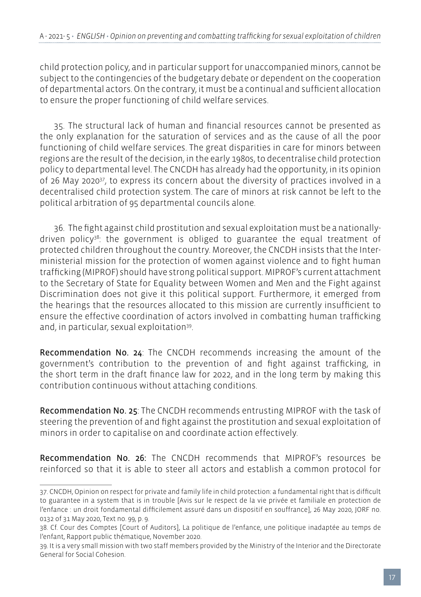child protection policy, and in particular support for unaccompanied minors, cannot be subject to the contingencies of the budgetary debate or dependent on the cooperation of departmental actors. On the contrary, it must be a continual and sufficient allocation to ensure the proper functioning of child welfare services.

35. The structural lack of human and financial resources cannot be presented as the only explanation for the saturation of services and as the cause of all the poor functioning of child welfare services. The great disparities in care for minors between regions are the result of the decision, in the early 1980s, to decentralise child protection policy to departmental level. The CNCDH has already had the opportunity, in its opinion of 26 May 202037, to express its concern about the diversity of practices involved in a decentralised child protection system. The care of minors at risk cannot be left to the political arbitration of 95 departmental councils alone.

36. The fight against child prostitution and sexual exploitation must be a nationallydriven policy<sup>38</sup>: the government is obliged to guarantee the equal treatment of protected children throughout the country. Moreover, the CNCDH insists that the Interministerial mission for the protection of women against violence and to fight human trafficking (MIPROF) should have strong political support. MIPROF's current attachment to the Secretary of State for Equality between Women and Men and the Fight against Discrimination does not give it this political support. Furthermore, it emerged from the hearings that the resources allocated to this mission are currently insufficient to ensure the effective coordination of actors involved in combatting human trafficking and, in particular, sexual exploitation<sup>39</sup>.

Recommendation No. 24: The CNCDH recommends increasing the amount of the government's contribution to the prevention of and fight against trafficking, in the short term in the draft finance law for 2022, and in the long term by making this contribution continuous without attaching conditions.

Recommendation No. 25: The CNCDH recommends entrusting MIPROF with the task of steering the prevention of and fight against the prostitution and sexual exploitation of minors in order to capitalise on and coordinate action effectively.

Recommendation No. 26: The CNCDH recommends that MIPROF's resources be reinforced so that it is able to steer all actors and establish a common protocol for

<sup>37.</sup> CNCDH, Opinion on respect for private and family life in child protection: a fundamental right that is difficult to guarantee in a system that is in trouble [Avis sur le respect de la vie privée et familiale en protection de l'enfance : un droit fondamental difficilement assuré dans un dispositif en souffrance], 26 May 2020, JORF no. 0132 of 31 May 2020, Text no. 99, p. 9.

<sup>38.</sup> Cf. Cour des Comptes [Court of Auditors], La politique de l'enfance, une politique inadaptée au temps de l'enfant, Rapport public thématique, November 2020.

<sup>39.</sup> It is a very small mission with two staff members provided by the Ministry of the Interior and the Directorate General for Social Cohesion.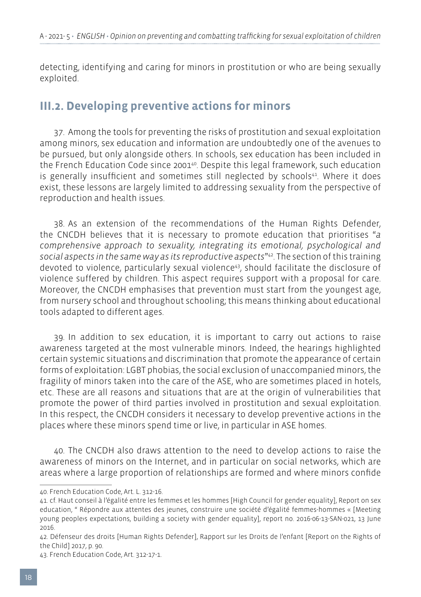detecting, identifying and caring for minors in prostitution or who are being sexually exploited.

### **III.2. Developing preventive actions for minors**

37. Among the tools for preventing the risks of prostitution and sexual exploitation among minors, sex education and information are undoubtedly one of the avenues to be pursued, but only alongside others. In schools, sex education has been included in the French Education Code since 200140. Despite this legal framework, such education is generally insufficient and sometimes still neglected by schools $41$ . Where it does exist, these lessons are largely limited to addressing sexuality from the perspective of reproduction and health issues.

38. As an extension of the recommendations of the Human Rights Defender, the CNCDH believes that it is necessary to promote education that prioritises "*a comprehensive approach to sexuality, integrating its emotional, psychological and social aspects in the same way as its reproductive aspects*"42. The section of this training devoted to violence, particularly sexual violence<sup>43</sup>, should facilitate the disclosure of violence suffered by children. This aspect requires support with a proposal for care. Moreover, the CNCDH emphasises that prevention must start from the youngest age, from nursery school and throughout schooling; this means thinking about educational tools adapted to different ages.

39. In addition to sex education, it is important to carry out actions to raise awareness targeted at the most vulnerable minors. Indeed, the hearings highlighted certain systemic situations and discrimination that promote the appearance of certain forms of exploitation: LGBT phobias, the social exclusion of unaccompanied minors, the fragility of minors taken into the care of the ASE, who are sometimes placed in hotels, etc. These are all reasons and situations that are at the origin of vulnerabilities that promote the power of third parties involved in prostitution and sexual exploitation. In this respect, the CNCDH considers it necessary to develop preventive actions in the places where these minors spend time or live, in particular in ASE homes.

40. The CNCDH also draws attention to the need to develop actions to raise the awareness of minors on the Internet, and in particular on social networks, which are areas where a large proportion of relationships are formed and where minors confide

<sup>40.</sup> French Education Code, Art. L. 312-16.

<sup>41.</sup> cf. Haut conseil à l'égalité entre les femmes et les hommes [High Council for gender equality], Report on sex education, " Répondre aux attentes des jeunes, construire une société d'égalité femmes-hommes « [Meeting young people›s expectations, building a society with gender equality], report no. 2016-06-13-SAN-021, 13 June 2016.

<sup>42.</sup> Défenseur des droits [Human Rights Defender], Rapport sur les Droits de l'enfant [Report on the Rights of the Child] 2017, p. 90.

<sup>43.</sup> French Education Code, Art. 312-17-1.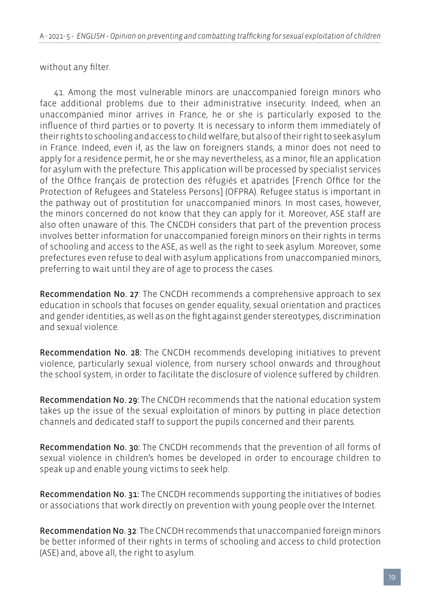without any filter.

41. Among the most vulnerable minors are unaccompanied foreign minors who face additional problems due to their administrative insecurity. Indeed, when an unaccompanied minor arrives in France, he or she is particularly exposed to the influence of third parties or to poverty. It is necessary to inform them immediately of their rights to schooling and access to child welfare, but also of their right to seek asylum in France. Indeed, even if, as the law on foreigners stands, a minor does not need to apply for a residence permit, he or she may nevertheless, as a minor, file an application for asylum with the prefecture. This application will be processed by specialist services of the Office français de protection des réfugiés et apatrides [French Office for the Protection of Refugees and Stateless Persons] (OFPRA). Refugee status is important in the pathway out of prostitution for unaccompanied minors. In most cases, however, the minors concerned do not know that they can apply for it. Moreover, ASE staff are also often unaware of this. The CNCDH considers that part of the prevention process involves better information for unaccompanied foreign minors on their rights in terms of schooling and access to the ASE, as well as the right to seek asylum. Moreover, some prefectures even refuse to deal with asylum applications from unaccompanied minors, preferring to wait until they are of age to process the cases.

Recommendation No. 27: The CNCDH recommends a comprehensive approach to sex education in schools that focuses on gender equality, sexual orientation and practices and gender identities, as well as on the fight against gender stereotypes, discrimination and sexual violence.

Recommendation No. 28: The CNCDH recommends developing initiatives to prevent violence, particularly sexual violence, from nursery school onwards and throughout the school system, in order to facilitate the disclosure of violence suffered by children.

Recommendation No. 29: The CNCDH recommends that the national education system takes up the issue of the sexual exploitation of minors by putting in place detection channels and dedicated staff to support the pupils concerned and their parents.

Recommendation No. 30: The CNCDH recommends that the prevention of all forms of sexual violence in children's homes be developed in order to encourage children to speak up and enable young victims to seek help.

Recommendation No. 31: The CNCDH recommends supporting the initiatives of bodies or associations that work directly on prevention with young people over the Internet.

Recommendation No. 32: The CNCDH recommends that unaccompanied foreign minors be better informed of their rights in terms of schooling and access to child protection (ASE) and, above all, the right to asylum.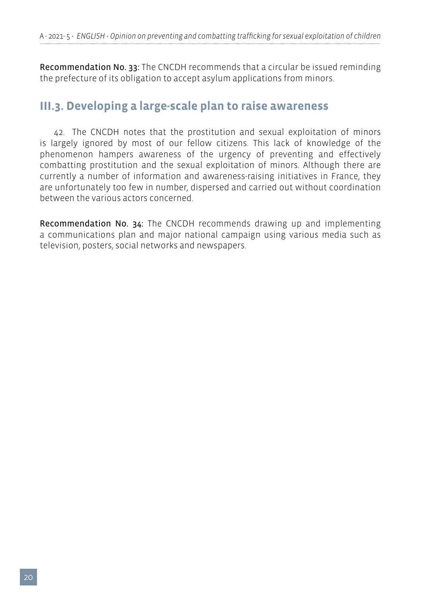Recommendation No. 33: The CNCDH recommends that a circular be issued reminding the prefecture of its obligation to accept asylum applications from minors.

### **III.3. Developing a large-scale plan to raise awareness**

42. The CNCDH notes that the prostitution and sexual exploitation of minors is largely ignored by most of our fellow citizens. This lack of knowledge of the phenomenon hampers awareness of the urgency of preventing and effectively combatting prostitution and the sexual exploitation of minors. Although there are currently a number of information and awareness-raising initiatives in France, they are unfortunately too few in number, dispersed and carried out without coordination between the various actors concerned.

Recommendation No. 34: The CNCDH recommends drawing up and implementing a communications plan and major national campaign using various media such as television, posters, social networks and newspapers.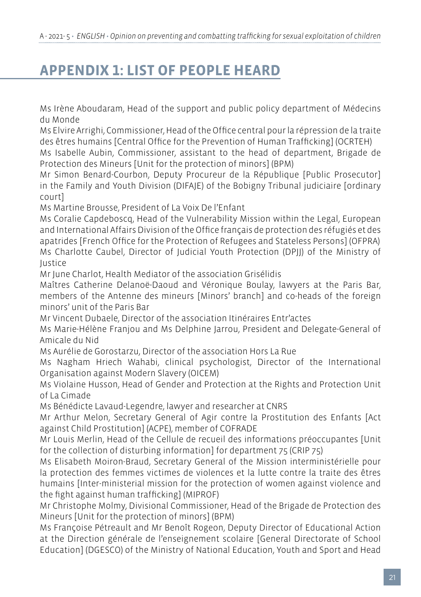# **APPENDIX 1: LIST OF PEOPLE HEARD**

Ms Irène Aboudaram, Head of the support and public policy department of Médecins du Monde

Ms Elvire Arrighi, Commissioner, Head of the Office central pour la répression de la traite des êtres humains [Central Office for the Prevention of Human Trafficking] (OCRTEH)

Ms Isabelle Aubin, Commissioner, assistant to the head of department, Brigade de Protection des Mineurs [Unit for the protection of minors] (BPM)

Mr Simon Benard-Courbon, Deputy Procureur de la République [Public Prosecutor] in the Family and Youth Division (DIFAJE) of the Bobigny Tribunal judiciaire [ordinary court]

Ms Martine Brousse, President of La Voix De l'Enfant

Ms Coralie Capdeboscq, Head of the Vulnerability Mission within the Legal, European and International Affairs Division of the Office français de protection des réfugiés et des apatrides [French Office for the Protection of Refugees and Stateless Persons] (OFPRA) Ms Charlotte Caubel, Director of Judicial Youth Protection (DPJJ) of the Ministry of Justice

Mr June Charlot, Health Mediator of the association Grisélidis

Maîtres Catherine Delanoë-Daoud and Véronique Boulay, lawyers at the Paris Bar, members of the Antenne des mineurs [Minors' branch] and co-heads of the foreign minors' unit of the Paris Bar

Mr Vincent Dubaele, Director of the association Itinéraires Entr'actes

Ms Marie-Hélène Franjou and Ms Delphine Jarrou, President and Delegate-General of Amicale du Nid

Ms Aurélie de Gorostarzu, Director of the association Hors La Rue

Ms Nagham Hriech Wahabi, clinical psychologist, Director of the International Organisation against Modern Slavery (OICEM)

Ms Violaine Husson, Head of Gender and Protection at the Rights and Protection Unit of La Cimade

Ms Bénédicte Lavaud-Legendre, lawyer and researcher at CNRS

Mr Arthur Melon, Secretary General of Agir contre la Prostitution des Enfants [Act against Child Prostitution] (ACPE), member of COFRADE

Mr Louis Merlin, Head of the Cellule de recueil des informations préoccupantes [Unit for the collection of disturbing information] for department 75 (CRIP 75)

Ms Elisabeth Moiron-Braud, Secretary General of the Mission interministérielle pour la protection des femmes victimes de violences et la lutte contre la traite des êtres humains [Inter-ministerial mission for the protection of women against violence and the fight against human trafficking] (MIPROF)

Mr Christophe Molmy, Divisional Commissioner, Head of the Brigade de Protection des Mineurs [Unit for the protection of minors] (BPM)

Ms Françoise Pétreault and Mr Benoît Rogeon, Deputy Director of Educational Action at the Direction générale de l'enseignement scolaire [General Directorate of School Education] (DGESCO) of the Ministry of National Education, Youth and Sport and Head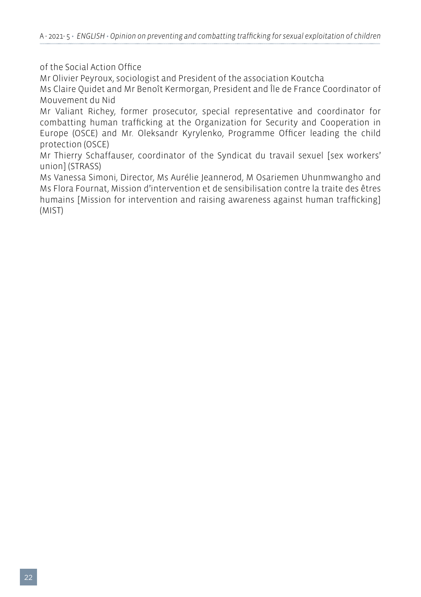of the Social Action Office

Mr Olivier Peyroux, sociologist and President of the association Koutcha

Ms Claire Quidet and Mr Benoît Kermorgan, President and Île de France Coordinator of Mouvement du Nid

Mr Valiant Richey, former prosecutor, special representative and coordinator for combatting human trafficking at the Organization for Security and Cooperation in Europe (OSCE) and Mr. Oleksandr Kyrylenko, Programme Officer leading the child protection (OSCE)

Mr Thierry Schaffauser, coordinator of the Syndicat du travail sexuel [sex workers' union] (STRASS)

Ms Vanessa Simoni, Director, Ms Aurélie Jeannerod, M Osariemen Uhunmwangho and Ms Flora Fournat, Mission d'intervention et de sensibilisation contre la traite des êtres humains [Mission for intervention and raising awareness against human trafficking] (MIST)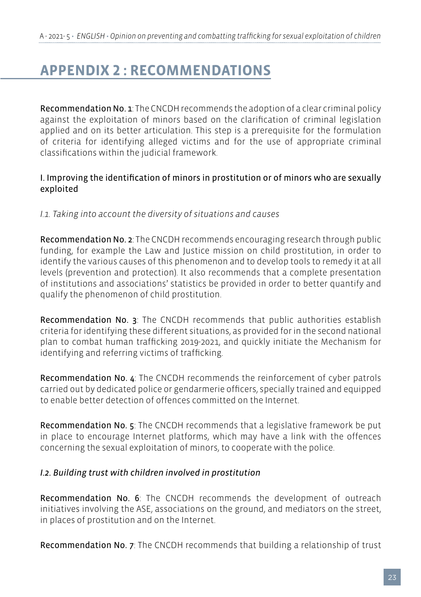# **APPENDIX 2 : RECOMMENDATIONS**

Recommendation No. 1: The CNCDH recommends the adoption of a clear criminal policy against the exploitation of minors based on the clarification of criminal legislation applied and on its better articulation. This step is a prerequisite for the formulation of criteria for identifying alleged victims and for the use of appropriate criminal classifications within the judicial framework.

#### I. Improving the identification of minors in prostitution or of minors who are sexually exploited

*I.1. Taking into account the diversity of situations and causes* 

Recommendation No. 2: The CNCDH recommends encouraging research through public funding, for example the Law and Justice mission on child prostitution, in order to identify the various causes of this phenomenon and to develop tools to remedy it at all levels (prevention and protection). It also recommends that a complete presentation of institutions and associations' statistics be provided in order to better quantify and qualify the phenomenon of child prostitution.

Recommendation No. 3: The CNCDH recommends that public authorities establish criteria for identifying these different situations, as provided for in the second national plan to combat human trafficking 2019-2021, and quickly initiate the Mechanism for identifying and referring victims of trafficking.

Recommendation No. 4: The CNCDH recommends the reinforcement of cyber patrols carried out by dedicated police or gendarmerie officers, specially trained and equipped to enable better detection of offences committed on the Internet.

Recommendation No. 5: The CNCDH recommends that a legislative framework be put in place to encourage Internet platforms, which may have a link with the offences concerning the sexual exploitation of minors, to cooperate with the police.

#### *I.2. Building trust with children involved in prostitution*

Recommendation No. 6: The CNCDH recommends the development of outreach initiatives involving the ASE, associations on the ground, and mediators on the street, in places of prostitution and on the Internet.

Recommendation No. 7: The CNCDH recommends that building a relationship of trust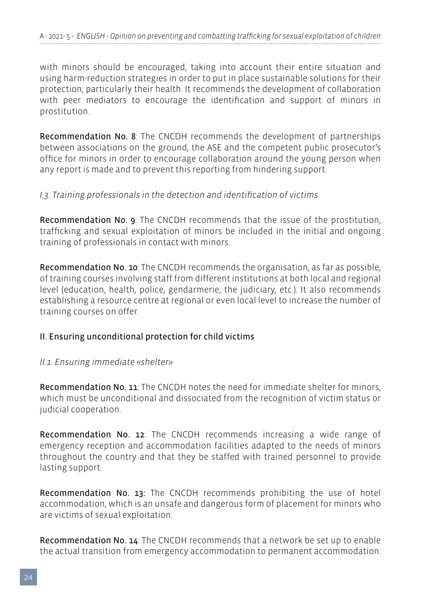with minors should be encouraged, taking into account their entire situation and using harm-reduction strategies in order to put in place sustainable solutions for their protection, particularly their health. It recommends the development of collaboration with peer mediators to encourage the identification and support of minors in prostitution.

Recommendation No. 8: The CNCDH recommends the development of partnerships between associations on the ground, the ASE and the competent public prosecutor's office for minors in order to encourage collaboration around the young person when any report is made and to prevent this reporting from hindering support.

#### *I.3. Training professionals in the detection and identification of victims*

Recommendation No. 9: The CNCDH recommends that the issue of the prostitution, trafficking and sexual exploitation of minors be included in the initial and ongoing training of professionals in contact with minors.

Recommendation No. 10: The CNCDH recommends the organisation, as far as possible, of training courses involving staff from different institutions at both local and regional level (education, health, police, gendarmerie, the judiciary, etc.). It also recommends establishing a resource centre at regional or even local level to increase the number of training courses on offer.

#### II. Ensuring unconditional protection for child victims

#### *II.1. Ensuring immediate «shelter»*

Recommendation No. 11: The CNCDH notes the need for immediate shelter for minors, which must be unconditional and dissociated from the recognition of victim status or judicial cooperation.

Recommendation No. 12: The CNCDH recommends increasing a wide range of emergency reception and accommodation facilities adapted to the needs of minors throughout the country and that they be staffed with trained personnel to provide lasting support.

Recommendation No. 13: The CNCDH recommends prohibiting the use of hotel accommodation, which is an unsafe and dangerous form of placement for minors who are victims of sexual exploitation.

Recommendation No. 14: The CNCDH recommends that a network be set up to enable the actual transition from emergency accommodation to permanent accommodation.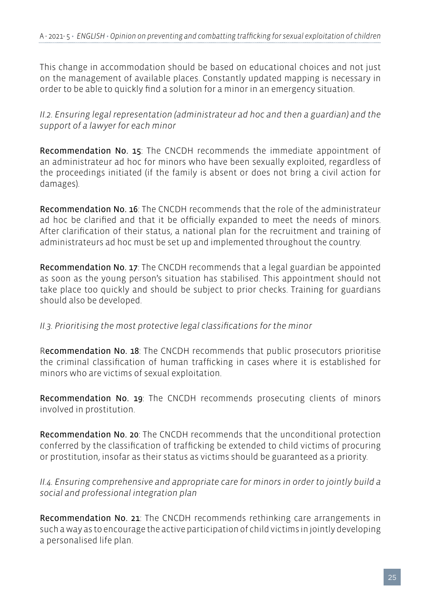This change in accommodation should be based on educational choices and not just on the management of available places. Constantly updated mapping is necessary in order to be able to quickly find a solution for a minor in an emergency situation.

*II.2. Ensuring legal representation (administrateur ad hoc and then a guardian) and the support of a lawyer for each minor*

Recommendation No. 15: The CNCDH recommends the immediate appointment of an administrateur ad hoc for minors who have been sexually exploited, regardless of the proceedings initiated (if the family is absent or does not bring a civil action for damages).

Recommendation No. 16: The CNCDH recommends that the role of the administrateur ad hoc be clarified and that it be officially expanded to meet the needs of minors. After clarification of their status, a national plan for the recruitment and training of administrateurs ad hoc must be set up and implemented throughout the country.

Recommendation No. 17: The CNCDH recommends that a legal guardian be appointed as soon as the young person's situation has stabilised. This appointment should not take place too quickly and should be subject to prior checks. Training for guardians should also be developed.

#### *II.3. Prioritising the most protective legal classifications for the minor*

Recommendation No. 18: The CNCDH recommends that public prosecutors prioritise the criminal classification of human trafficking in cases where it is established for minors who are victims of sexual exploitation.

Recommendation No. 19: The CNCDH recommends prosecuting clients of minors involved in prostitution.

Recommendation No. 20: The CNCDH recommends that the unconditional protection conferred by the classification of trafficking be extended to child victims of procuring or prostitution, insofar as their status as victims should be guaranteed as a priority.

*II.4. Ensuring comprehensive and appropriate care for minors in order to jointly build a social and professional integration plan*

Recommendation No. 21: The CNCDH recommends rethinking care arrangements in such a way as to encourage the active participation of child victims in jointly developing a personalised life plan.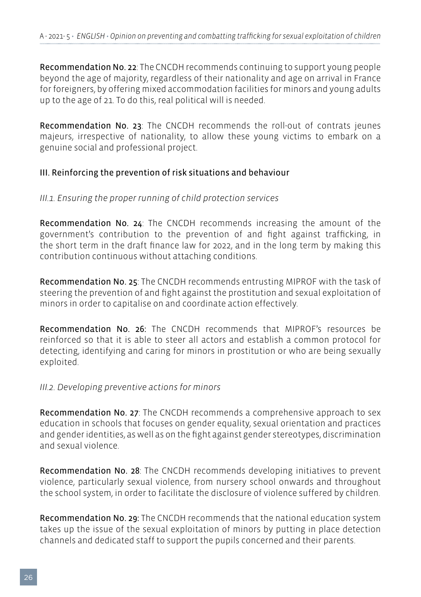Recommendation No. 22: The CNCDH recommends continuing to support young people beyond the age of majority, regardless of their nationality and age on arrival in France for foreigners, by offering mixed accommodation facilities for minors and young adults up to the age of 21. To do this, real political will is needed.

Recommendation No. 23: The CNCDH recommends the roll-out of contrats jeunes majeurs, irrespective of nationality, to allow these young victims to embark on a genuine social and professional project.

### III. Reinforcing the prevention of risk situations and behaviour

#### *III.1. Ensuring the proper running of child protection services*

Recommendation No. 24: The CNCDH recommends increasing the amount of the government's contribution to the prevention of and fight against trafficking, in the short term in the draft finance law for 2022, and in the long term by making this contribution continuous without attaching conditions.

Recommendation No. 25: The CNCDH recommends entrusting MIPROF with the task of steering the prevention of and fight against the prostitution and sexual exploitation of minors in order to capitalise on and coordinate action effectively.

Recommendation No. 26: The CNCDH recommends that MIPROF's resources be reinforced so that it is able to steer all actors and establish a common protocol for detecting, identifying and caring for minors in prostitution or who are being sexually exploited.

#### *III.2. Developing preventive actions for minors*

Recommendation No. 27: The CNCDH recommends a comprehensive approach to sex education in schools that focuses on gender equality, sexual orientation and practices and gender identities, as well as on the fight against gender stereotypes, discrimination and sexual violence.

Recommendation No. 28: The CNCDH recommends developing initiatives to prevent violence, particularly sexual violence, from nursery school onwards and throughout the school system, in order to facilitate the disclosure of violence suffered by children.

Recommendation No. 29: The CNCDH recommends that the national education system takes up the issue of the sexual exploitation of minors by putting in place detection channels and dedicated staff to support the pupils concerned and their parents.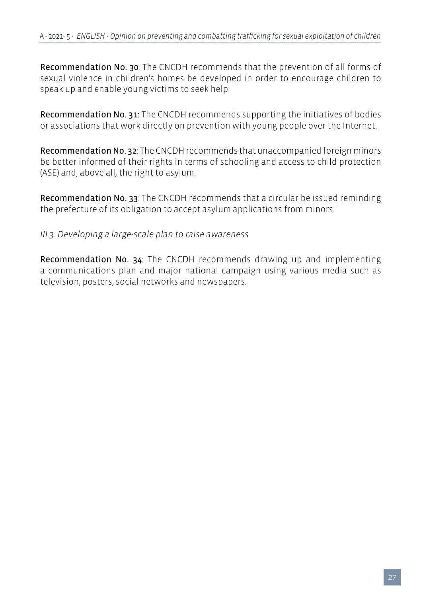Recommendation No. 30: The CNCDH recommends that the prevention of all forms of sexual violence in children's homes be developed in order to encourage children to speak up and enable young victims to seek help.

Recommendation No. 31: The CNCDH recommends supporting the initiatives of bodies or associations that work directly on prevention with young people over the Internet.

Recommendation No. 32: The CNCDH recommends that unaccompanied foreign minors be better informed of their rights in terms of schooling and access to child protection (ASE) and, above all, the right to asylum.

Recommendation No. 33: The CNCDH recommends that a circular be issued reminding the prefecture of its obligation to accept asylum applications from minors.

#### *III.3. Developing a large-scale plan to raise awareness*

Recommendation No. 34: The CNCDH recommends drawing up and implementing a communications plan and major national campaign using various media such as television, posters, social networks and newspapers.